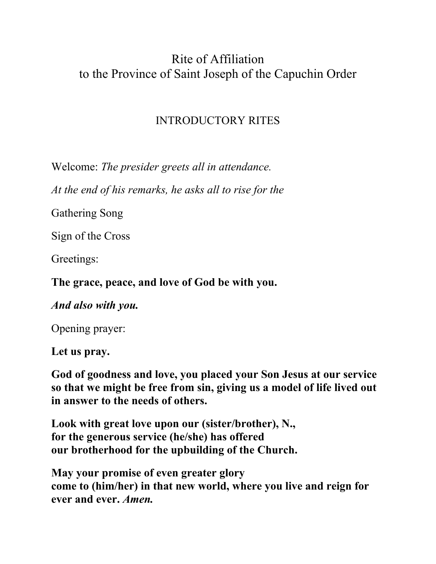# Rite of Affiliation to the Province of Saint Joseph of the Capuchin Order

## INTRODUCTORY RITES

Welcome: *The presider greets all in attendance.* 

*At the end of his remarks, he asks all to rise for the* 

Gathering Song

Sign of the Cross

Greetings:

**The grace, peace, and love of God be with you.** 

*And also with you.* 

Opening prayer:

**Let us pray.** 

**God of goodness and love, you placed your Son Jesus at our service so that we might be free from sin, giving us a model of life lived out in answer to the needs of others.** 

**Look with great love upon our (sister/brother), N., for the generous service (he/she) has offered our brotherhood for the upbuilding of the Church.** 

**May your promise of even greater glory come to (him/her) in that new world, where you live and reign for ever and ever.** *Amen.*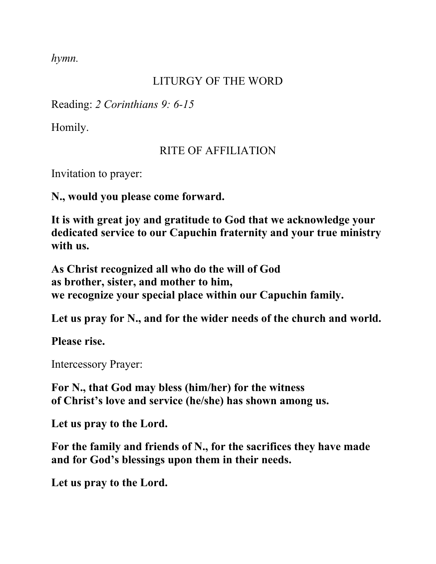*hymn.* 

## LITURGY OF THE WORD

Reading: *2 Corinthians 9: 6-15* 

Homily.

#### RITE OF AFFILIATION

Invitation to prayer:

**N., would you please come forward.** 

**It is with great joy and gratitude to God that we acknowledge your dedicated service to our Capuchin fraternity and your true ministry with us.** 

**As Christ recognized all who do the will of God as brother, sister, and mother to him, we recognize your special place within our Capuchin family.** 

**Let us pray for N., and for the wider needs of the church and world.** 

**Please rise.** 

Intercessory Prayer:

**For N., that God may bless (him/her) for the witness of Christ's love and service (he/she) has shown among us.** 

**Let us pray to the Lord.** 

**For the family and friends of N., for the sacrifices they have made and for God's blessings upon them in their needs.** 

**Let us pray to the Lord.**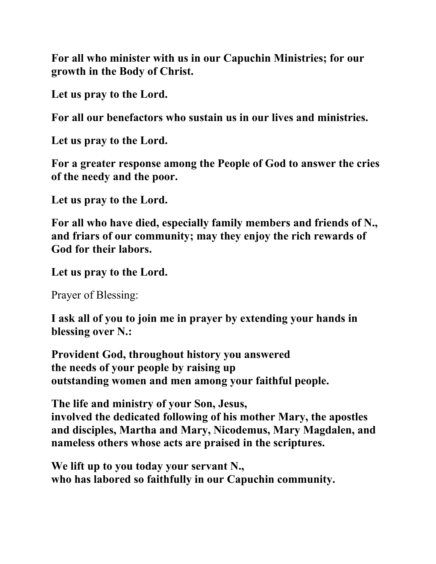**For all who minister with us in our Capuchin Ministries; for our growth in the Body of Christ.** 

**Let us pray to the Lord.** 

**For all our benefactors who sustain us in our lives and ministries.** 

**Let us pray to the Lord.** 

**For a greater response among the People of God to answer the cries of the needy and the poor.** 

**Let us pray to the Lord.** 

**For all who have died, especially family members and friends of N., and friars of our community; may they enjoy the rich rewards of God for their labors.** 

**Let us pray to the Lord.** 

Prayer of Blessing:

**I ask all of you to join me in prayer by extending your hands in blessing over N.:** 

**Provident God, throughout history you answered the needs of your people by raising up outstanding women and men among your faithful people.** 

**The life and ministry of your Son, Jesus,** 

**involved the dedicated following of his mother Mary, the apostles and disciples, Martha and Mary, Nicodemus, Mary Magdalen, and nameless others whose acts are praised in the scriptures.** 

**We lift up to you today your servant N., who has labored so faithfully in our Capuchin community.**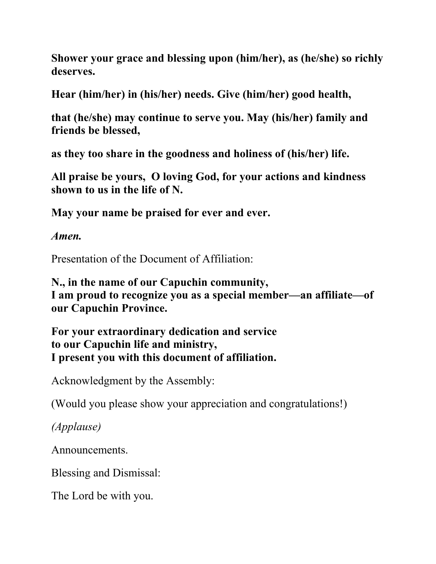**Shower your grace and blessing upon (him/her), as (he/she) so richly deserves.** 

**Hear (him/her) in (his/her) needs. Give (him/her) good health,** 

**that (he/she) may continue to serve you. May (his/her) family and friends be blessed,** 

**as they too share in the goodness and holiness of (his/her) life.** 

**All praise be yours, O loving God, for your actions and kindness shown to us in the life of N.** 

**May your name be praised for ever and ever.** 

*Amen.* 

Presentation of the Document of Affiliation:

**N., in the name of our Capuchin community, I am proud to recognize you as a special member—an affiliate—of our Capuchin Province.** 

**For your extraordinary dedication and service to our Capuchin life and ministry, I present you with this document of affiliation.** 

Acknowledgment by the Assembly:

(Would you please show your appreciation and congratulations!)

*(Applause)* 

Announcements.

Blessing and Dismissal:

The Lord be with you.